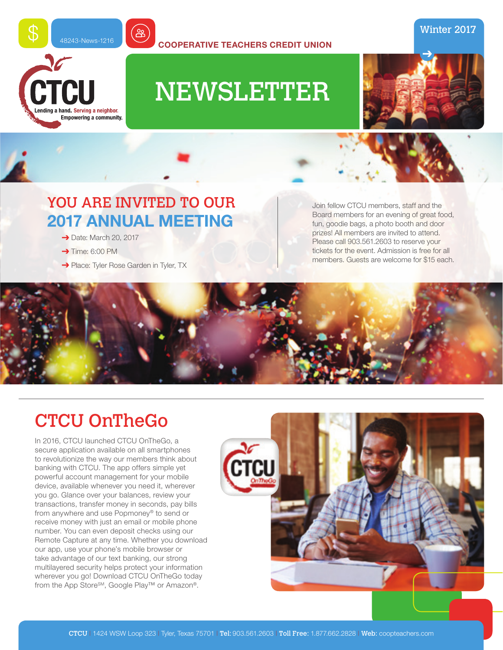

**COOPERATIVE TEACHERS CREDIT UNION**

# NEWSLETTER



Winter 2017

### YOU ARE INVITED TO OUR **2017 ANNUAL MEETING**

#### $\rightarrow$  Date: March 20, 2017

 $\rightarrow$  Time: 6:00 PM

CTCU

ng a hand. Serving a neighbor. Empowering a community.

→ Place: Tyler Rose Garden in Tyler, TX

Join fellow CTCU members, staff and the Board members for an evening of great food, fun, goodie bags, a photo booth and door prizes! All members are invited to attend. Please call 903.561.2603 to reserve your tickets for the event. Admission is free for all members. Guests are welcome for \$15 each.



## CTCU OnTheGo

In 2016, CTCU launched CTCU OnTheGo, a secure application available on all smartphones to revolutionize the way our members think about banking with CTCU. The app offers simple yet powerful account management for your mobile device, available whenever you need it, wherever you go. Glance over your balances, review your transactions, transfer money in seconds, pay bills from anywhere and use Popmoney® to send or receive money with just an email or mobile phone number. You can even deposit checks using our Remote Capture at any time. Whether you download our app, use your phone's mobile browser or take advantage of our text banking, our strong multilayered security helps protect your information wherever you go! Download CTCU OnTheGo today from the App Store<sup>SM</sup>, Google Play<sup>™</sup> or Amazon®.

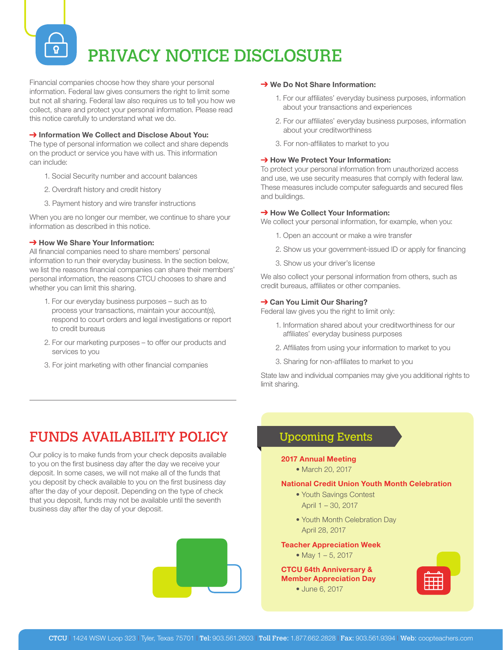# PRIVACY NOTICE DISCLOSURE

Financial companies choose how they share your personal information. Federal law gives consumers the right to limit some but not all sharing. Federal law also requires us to tell you how we collect, share and protect your personal information. Please read this notice carefully to understand what we do.

#### → Information We Collect and Disclose About You:

The type of personal information we collect and share depends on the product or service you have with us. This information can include:

- 1. Social Security number and account balances
- 2. Overdraft history and credit history
- 3. Payment history and wire transfer instructions

When you are no longer our member, we continue to share your information as described in this notice.

#### **→ How We Share Your Information:**

All financial companies need to share members' personal information to run their everyday business. In the section below, we list the reasons financial companies can share their members' personal information, the reasons CTCU chooses to share and whether you can limit this sharing.

- 1. For our everyday business purposes such as to process your transactions, maintain your account(s), respond to court orders and legal investigations or report to credit bureaus
- 2. For our marketing purposes to offer our products and services to you
- 3. For joint marketing with other financial companies

#### **→ We Do Not Share Information:**

- 1. For our affiliates' everyday business purposes, information about your transactions and experiences
- 2. For our affiliates' everyday business purposes, information about your creditworthiness
- 3. For non-affiliates to market to you

#### **→ How We Protect Your Information:**

To protect your personal information from unauthorized access and use, we use security measures that comply with federal law. These measures include computer safeguards and secured files and buildings.

#### **→ How We Collect Your Information:**

We collect your personal information, for example, when you:

- 1. Open an account or make a wire transfer
- 2. Show us your government-issued ID or apply for financing
- 3. Show us your driver's license

We also collect your personal information from others, such as credit bureaus, affiliates or other companies.

#### **→ Can You Limit Our Sharing?**

Federal law gives you the right to limit only:

- 1. Information shared about your creditworthiness for our affiliates' everyday business purposes
- 2. Affiliates from using your information to market to you
- 3. Sharing for non-affiliates to market to you

State law and individual companies may give you additional rights to limit sharing.

### FUNDS AVAILABILITY POLICY

Our policy is to make funds from your check deposits available to you on the first business day after the day we receive your deposit. In some cases, we will not make all of the funds that you deposit by check available to you on the first business day after the day of your deposit. Depending on the type of check that you deposit, funds may not be available until the seventh business day after the day of your deposit.



### Upcoming Events

#### **2017 Annual Meeting**

• March 20, 2017

#### **National Credit Union Youth Month Celebration**

- Youth Savings Contest April 1 – 30, 2017
- Youth Month Celebration Day April 28, 2017

#### **Teacher Appreciation Week**

 • May 1 – 5, 2017

#### **CTCU 64th Anniversary & Member Appreciation Day**

 • June 6, 2017

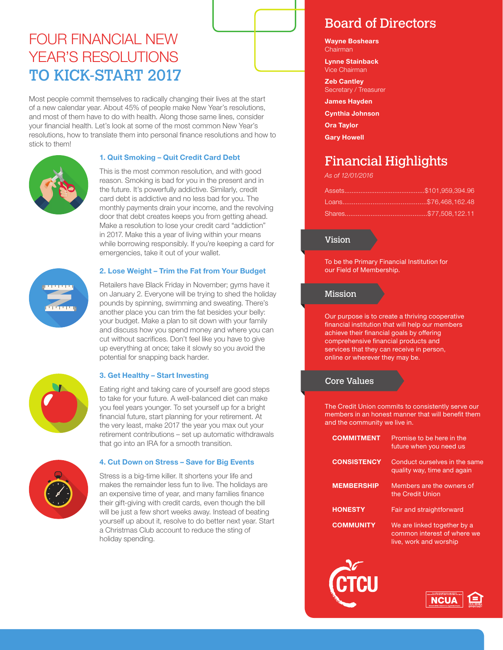### FOUR FINANCIAL NEW YEAR'S RESOLUTIONS TO KICK-START 2017

Most people commit themselves to radically changing their lives at the start of a new calendar year. About 45% of people make New Year's resolutions, and most of them have to do with health. Along those same lines, consider your financial health. Let's look at some of the most common New Year's resolutions, how to translate them into personal finance resolutions and how to stick to them!



#### **1. Quit Smoking – Quit Credit Card Debt**

This is the most common resolution, and with good reason. Smoking is bad for you in the present and in the future. It's powerfully addictive. Similarly, credit card debt is addictive and no less bad for you. The monthly payments drain your income, and the revolving door that debt creates keeps you from getting ahead. Make a resolution to lose your credit card "addiction" in 2017. Make this a year of living within your means while borrowing responsibly. If you're keeping a card for emergencies, take it out of your wallet.



#### **2. Lose Weight – Trim the Fat from Your Budget**

Retailers have Black Friday in November; gyms have it on January 2. Everyone will be trying to shed the holiday pounds by spinning, swimming and sweating. There's another place you can trim the fat besides your belly: your budget. Make a plan to sit down with your family and discuss how you spend money and where you can cut without sacrifices. Don't feel like you have to give up everything at once; take it slowly so you avoid the potential for snapping back harder.



#### **3. Get Healthy – Start Investing**

Eating right and taking care of yourself are good steps to take for your future. A well-balanced diet can make you feel years younger. To set yourself up for a bright financial future, start planning for your retirement. At the very least, make 2017 the year you max out your retirement contributions – set up automatic withdrawals that go into an IRA for a smooth transition.



#### **4. Cut Down on Stress – Save for Big Events**

Stress is a big-time killer. It shortens your life and makes the remainder less fun to live. The holidays are an expensive time of year, and many families finance their gift-giving with credit cards, even though the bill will be just a few short weeks away. Instead of beating yourself up about it, resolve to do better next year. Start a Christmas Club account to reduce the sting of holiday spending.

### Board of Directors

**Wayne Boshears** Chairman

**Lynne Stainback** Vice Chairman

**Zeb Cantley** Secretary / Treasurer

**James Hayden Cynthia Johnson**

**Ora Taylor**

**Gary Howell**

### Financial Highlights

*As of 12/01/2016*

#### Vision

To be the Primary Financial Institution for our Field of Membership.

#### Mission

Our purpose is to create a thriving cooperative financial institution that will help our members achieve their financial goals by offering comprehensive financial products and services that they can receive in person, online or wherever they may be.

#### Core Values

The Credit Union commits to consistently serve our members in an honest manner that will benefit them and the community we live in.

| <b>COMMITMENT</b>  | Promise to be here in the<br>future when you need us                                 |
|--------------------|--------------------------------------------------------------------------------------|
| <b>CONSISTENCY</b> | Conduct ourselves in the same<br>quality way, time and again                         |
| <b>MEMBERSHIP</b>  | Members are the owners of<br>the Credit Union                                        |
| <b>HONESTY</b>     | Fair and straightforward                                                             |
| <b>COMMUNITY</b>   | We are linked together by a<br>common interest of where we<br>live, work and worship |